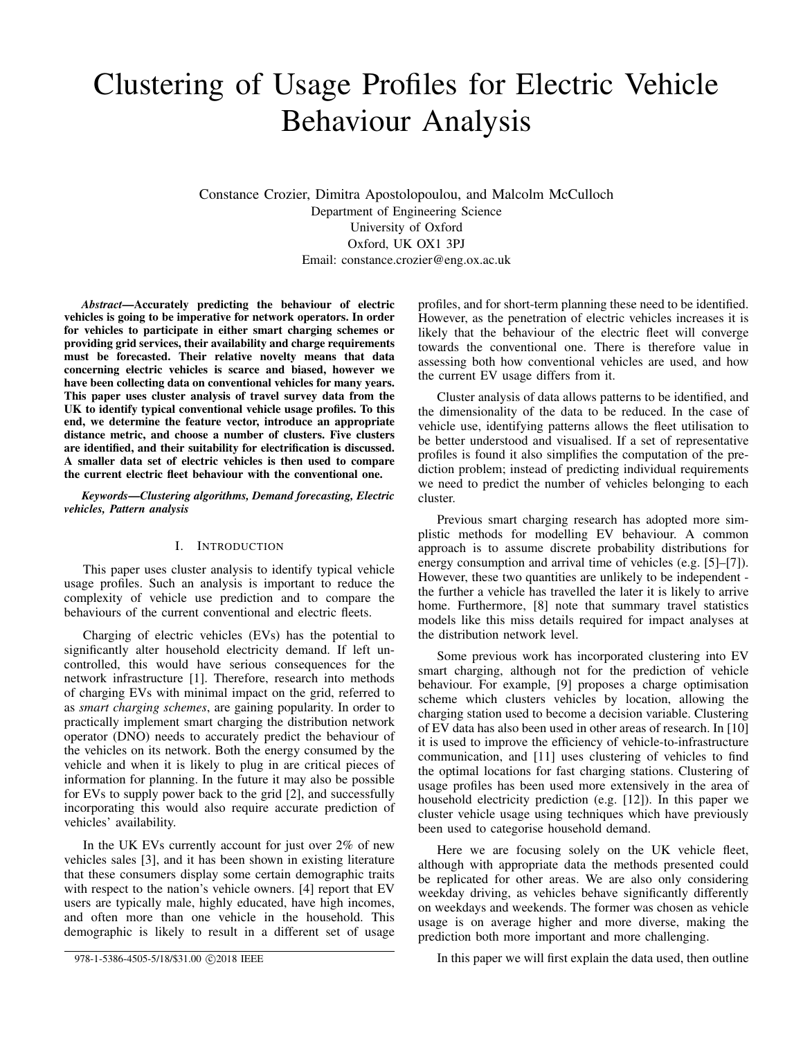# Clustering of Usage Profiles for Electric Vehicle Behaviour Analysis

Constance Crozier, Dimitra Apostolopoulou, and Malcolm McCulloch Department of Engineering Science University of Oxford Oxford, UK OX1 3PJ Email: constance.crozier@eng.ox.ac.uk

*Abstract*—Accurately predicting the behaviour of electric vehicles is going to be imperative for network operators. In order for vehicles to participate in either smart charging schemes or providing grid services, their availability and charge requirements must be forecasted. Their relative novelty means that data concerning electric vehicles is scarce and biased, however we have been collecting data on conventional vehicles for many years. This paper uses cluster analysis of travel survey data from the UK to identify typical conventional vehicle usage profiles. To this end, we determine the feature vector, introduce an appropriate distance metric, and choose a number of clusters. Five clusters are identified, and their suitability for electrification is discussed. A smaller data set of electric vehicles is then used to compare the current electric fleet behaviour with the conventional one.

## *Keywords*—*Clustering algorithms, Demand forecasting, Electric vehicles, Pattern analysis*

# I. INTRODUCTION

This paper uses cluster analysis to identify typical vehicle usage profiles. Such an analysis is important to reduce the complexity of vehicle use prediction and to compare the behaviours of the current conventional and electric fleets.

Charging of electric vehicles (EVs) has the potential to significantly alter household electricity demand. If left uncontrolled, this would have serious consequences for the network infrastructure [1]. Therefore, research into methods of charging EVs with minimal impact on the grid, referred to as *smart charging schemes*, are gaining popularity. In order to practically implement smart charging the distribution network operator (DNO) needs to accurately predict the behaviour of the vehicles on its network. Both the energy consumed by the vehicle and when it is likely to plug in are critical pieces of information for planning. In the future it may also be possible for EVs to supply power back to the grid [2], and successfully incorporating this would also require accurate prediction of vehicles' availability.

In the UK EVs currently account for just over 2% of new vehicles sales [3], and it has been shown in existing literature that these consumers display some certain demographic traits with respect to the nation's vehicle owners. [4] report that EV users are typically male, highly educated, have high incomes, and often more than one vehicle in the household. This demographic is likely to result in a different set of usage

978-1-5386-4505-5/18/\$31.00 ©2018 IEEE

profiles, and for short-term planning these need to be identified. However, as the penetration of electric vehicles increases it is likely that the behaviour of the electric fleet will converge towards the conventional one. There is therefore value in assessing both how conventional vehicles are used, and how the current EV usage differs from it.

Cluster analysis of data allows patterns to be identified, and the dimensionality of the data to be reduced. In the case of vehicle use, identifying patterns allows the fleet utilisation to be better understood and visualised. If a set of representative profiles is found it also simplifies the computation of the prediction problem; instead of predicting individual requirements we need to predict the number of vehicles belonging to each cluster.

Previous smart charging research has adopted more simplistic methods for modelling EV behaviour. A common approach is to assume discrete probability distributions for energy consumption and arrival time of vehicles (e.g. [5]–[7]). However, these two quantities are unlikely to be independent the further a vehicle has travelled the later it is likely to arrive home. Furthermore, [8] note that summary travel statistics models like this miss details required for impact analyses at the distribution network level.

Some previous work has incorporated clustering into EV smart charging, although not for the prediction of vehicle behaviour. For example, [9] proposes a charge optimisation scheme which clusters vehicles by location, allowing the charging station used to become a decision variable. Clustering of EV data has also been used in other areas of research. In [10] it is used to improve the efficiency of vehicle-to-infrastructure communication, and [11] uses clustering of vehicles to find the optimal locations for fast charging stations. Clustering of usage profiles has been used more extensively in the area of household electricity prediction (e.g. [12]). In this paper we cluster vehicle usage using techniques which have previously been used to categorise household demand.

Here we are focusing solely on the UK vehicle fleet, although with appropriate data the methods presented could be replicated for other areas. We are also only considering weekday driving, as vehicles behave significantly differently on weekdays and weekends. The former was chosen as vehicle usage is on average higher and more diverse, making the prediction both more important and more challenging.

In this paper we will first explain the data used, then outline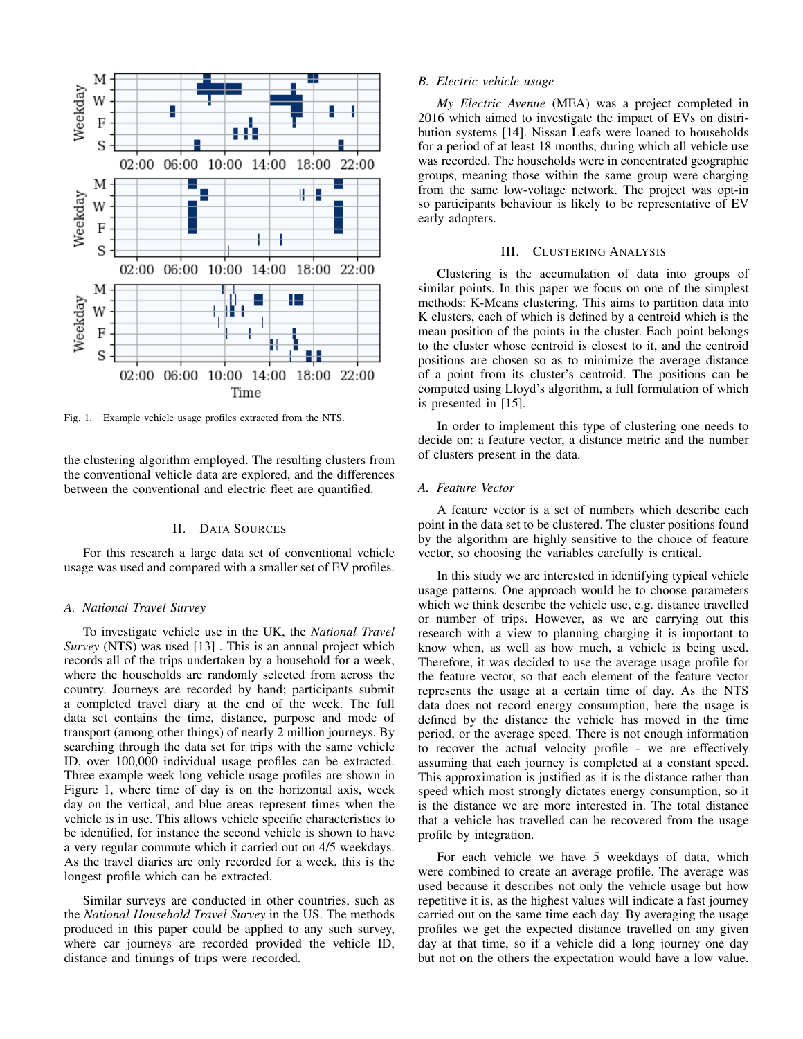

Fig. 1. Example vehicle usage profiles extracted from the NTS.

the clustering algorithm employed. The resulting clusters from the conventional vehicle data are explored, and the differences between the conventional and electric fleet are quantified.

# II. DATA SOURCES

For this research a large data set of conventional vehicle usage was used and compared with a smaller set of EV profiles.

# *A. National Travel Survey*

To investigate vehicle use in the UK, the *National Travel Survey* (NTS) was used [13] . This is an annual project which records all of the trips undertaken by a household for a week, where the households are randomly selected from across the country. Journeys are recorded by hand; participants submit a completed travel diary at the end of the week. The full data set contains the time, distance, purpose and mode of transport (among other things) of nearly 2 million journeys. By searching through the data set for trips with the same vehicle ID, over 100,000 individual usage profiles can be extracted. Three example week long vehicle usage profiles are shown in Figure 1, where time of day is on the horizontal axis, week day on the vertical, and blue areas represent times when the vehicle is in use. This allows vehicle specific characteristics to be identified, for instance the second vehicle is shown to have a very regular commute which it carried out on 4/5 weekdays. As the travel diaries are only recorded for a week, this is the longest profile which can be extracted.

Similar surveys are conducted in other countries, such as the *National Household Travel Survey* in the US. The methods produced in this paper could be applied to any such survey, where car journeys are recorded provided the vehicle ID, distance and timings of trips were recorded.

### *B. Electric vehicle usage*

*My Electric Avenue* (MEA) was a project completed in 2016 which aimed to investigate the impact of EVs on distribution systems [14]. Nissan Leafs were loaned to households for a period of at least 18 months, during which all vehicle use was recorded. The households were in concentrated geographic groups, meaning those within the same group were charging from the same low-voltage network. The project was opt-in so participants behaviour is likely to be representative of EV early adopters.

## III. CLUSTERING ANALYSIS

Clustering is the accumulation of data into groups of similar points. In this paper we focus on one of the simplest methods: K-Means clustering. This aims to partition data into K clusters, each of which is defined by a centroid which is the mean position of the points in the cluster. Each point belongs to the cluster whose centroid is closest to it, and the centroid positions are chosen so as to minimize the average distance of a point from its cluster's centroid. The positions can be computed using Lloyd's algorithm, a full formulation of which is presented in [15].

In order to implement this type of clustering one needs to decide on: a feature vector, a distance metric and the number of clusters present in the data.

### *A. Feature Vector*

A feature vector is a set of numbers which describe each point in the data set to be clustered. The cluster positions found by the algorithm are highly sensitive to the choice of feature vector, so choosing the variables carefully is critical.

In this study we are interested in identifying typical vehicle usage patterns. One approach would be to choose parameters which we think describe the vehicle use, e.g. distance travelled or number of trips. However, as we are carrying out this research with a view to planning charging it is important to know when, as well as how much, a vehicle is being used. Therefore, it was decided to use the average usage profile for the feature vector, so that each element of the feature vector represents the usage at a certain time of day. As the NTS data does not record energy consumption, here the usage is defined by the distance the vehicle has moved in the time period, or the average speed. There is not enough information to recover the actual velocity profile - we are effectively assuming that each journey is completed at a constant speed. This approximation is justified as it is the distance rather than speed which most strongly dictates energy consumption, so it is the distance we are more interested in. The total distance that a vehicle has travelled can be recovered from the usage profile by integration.

For each vehicle we have 5 weekdays of data, which were combined to create an average profile. The average was used because it describes not only the vehicle usage but how repetitive it is, as the highest values will indicate a fast journey carried out on the same time each day. By averaging the usage profiles we get the expected distance travelled on any given day at that time, so if a vehicle did a long journey one day but not on the others the expectation would have a low value.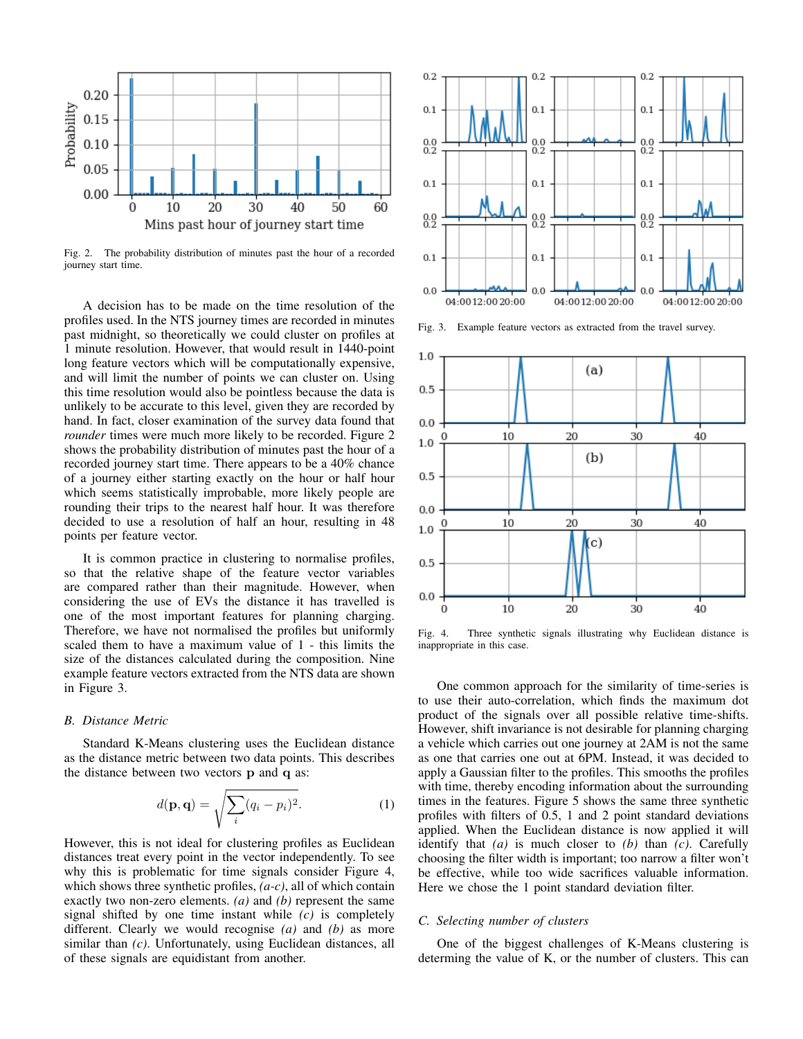

Fig. 2. The probability distribution of minutes past the hour of a recorded journey start time.

A decision has to be made on the time resolution of the profiles used. In the NTS journey times are recorded in minutes past midnight, so theoretically we could cluster on profiles at 1 minute resolution. However, that would result in 1440-point long feature vectors which will be computationally expensive, and will limit the number of points we can cluster on. Using this time resolution would also be pointless because the data is unlikely to be accurate to this level, given they are recorded by hand. In fact, closer examination of the survey data found that *rounder* times were much more likely to be recorded. Figure 2 shows the probability distribution of minutes past the hour of a recorded journey start time. There appears to be a 40% chance of a journey either starting exactly on the hour or half hour which seems statistically improbable, more likely people are rounding their trips to the nearest half hour. It was therefore decided to use a resolution of half an hour, resulting in 48 points per feature vector.

It is common practice in clustering to normalise profiles, so that the relative shape of the feature vector variables are compared rather than their magnitude. However, when considering the use of EVs the distance it has travelled is one of the most important features for planning charging. Therefore, we have not normalised the profiles but uniformly scaled them to have a maximum value of 1 - this limits the size of the distances calculated during the composition. Nine example feature vectors extracted from the NTS data are shown in Figure 3.

## *B. Distance Metric*

Standard K-Means clustering uses the Euclidean distance as the distance metric between two data points. This describes the distance between two vectors p and q as:

$$
d(\mathbf{p}, \mathbf{q}) = \sqrt{\sum_{i} (q_i - p_i)^2}.
$$
 (1)

However, this is not ideal for clustering profiles as Euclidean distances treat every point in the vector independently. To see why this is problematic for time signals consider Figure 4, which shows three synthetic profiles, *(a-c)*, all of which contain exactly two non-zero elements. *(a)* and *(b)* represent the same signal shifted by one time instant while *(c)* is completely different. Clearly we would recognise *(a)* and *(b)* as more similar than *(c)*. Unfortunately, using Euclidean distances, all of these signals are equidistant from another.



Fig. 3. Example feature vectors as extracted from the travel survey.



Fig. 4. Three synthetic signals illustrating why Euclidean distance is inappropriate in this case.

One common approach for the similarity of time-series is to use their auto-correlation, which finds the maximum dot product of the signals over all possible relative time-shifts. However, shift invariance is not desirable for planning charging a vehicle which carries out one journey at 2AM is not the same as one that carries one out at 6PM. Instead, it was decided to apply a Gaussian filter to the profiles. This smooths the profiles with time, thereby encoding information about the surrounding times in the features. Figure 5 shows the same three synthetic profiles with filters of 0.5, 1 and 2 point standard deviations applied. When the Euclidean distance is now applied it will identify that *(a)* is much closer to *(b)* than *(c)*. Carefully choosing the filter width is important; too narrow a filter won't be effective, while too wide sacrifices valuable information. Here we chose the 1 point standard deviation filter.

#### *C. Selecting number of clusters*

One of the biggest challenges of K-Means clustering is determing the value of K, or the number of clusters. This can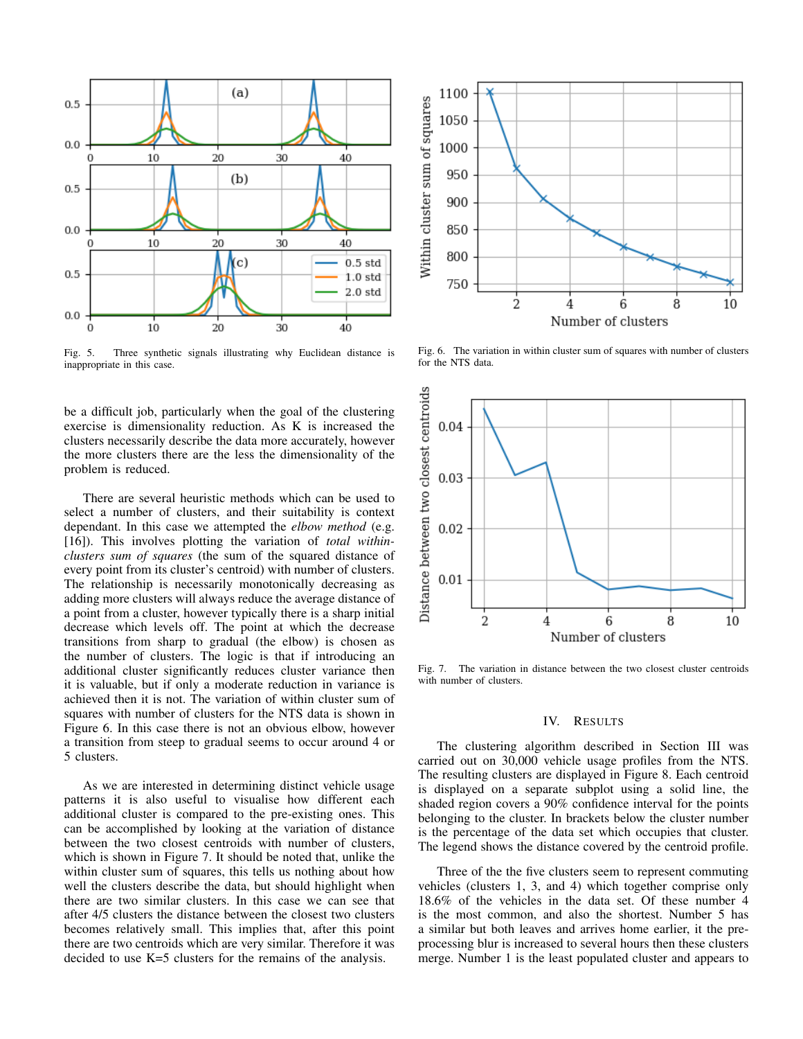

Fig. 5. Three synthetic signals illustrating why Euclidean distance is inappropriate in this case.

be a difficult job, particularly when the goal of the clustering exercise is dimensionality reduction. As K is increased the clusters necessarily describe the data more accurately, however the more clusters there are the less the dimensionality of the problem is reduced.

There are several heuristic methods which can be used to select a number of clusters, and their suitability is context dependant. In this case we attempted the *elbow method* (e.g. [16]). This involves plotting the variation of *total withinclusters sum of squares* (the sum of the squared distance of every point from its cluster's centroid) with number of clusters. The relationship is necessarily monotonically decreasing as adding more clusters will always reduce the average distance of a point from a cluster, however typically there is a sharp initial decrease which levels off. The point at which the decrease transitions from sharp to gradual (the elbow) is chosen as the number of clusters. The logic is that if introducing an additional cluster significantly reduces cluster variance then it is valuable, but if only a moderate reduction in variance is achieved then it is not. The variation of within cluster sum of squares with number of clusters for the NTS data is shown in Figure 6. In this case there is not an obvious elbow, however a transition from steep to gradual seems to occur around 4 or 5 clusters.

As we are interested in determining distinct vehicle usage patterns it is also useful to visualise how different each additional cluster is compared to the pre-existing ones. This can be accomplished by looking at the variation of distance between the two closest centroids with number of clusters, which is shown in Figure 7. It should be noted that, unlike the within cluster sum of squares, this tells us nothing about how well the clusters describe the data, but should highlight when there are two similar clusters. In this case we can see that after 4/5 clusters the distance between the closest two clusters becomes relatively small. This implies that, after this point there are two centroids which are very similar. Therefore it was decided to use K=5 clusters for the remains of the analysis.



Fig. 6. The variation in within cluster sum of squares with number of clusters for the NTS data.



Fig. 7. The variation in distance between the two closest cluster centroids with number of clusters.

## IV. RESULTS

The clustering algorithm described in Section III was carried out on 30,000 vehicle usage profiles from the NTS. The resulting clusters are displayed in Figure 8. Each centroid is displayed on a separate subplot using a solid line, the shaded region covers a 90% confidence interval for the points belonging to the cluster. In brackets below the cluster number is the percentage of the data set which occupies that cluster. The legend shows the distance covered by the centroid profile.

Three of the the five clusters seem to represent commuting vehicles (clusters 1, 3, and 4) which together comprise only 18.6% of the vehicles in the data set. Of these number 4 is the most common, and also the shortest. Number 5 has a similar but both leaves and arrives home earlier, it the preprocessing blur is increased to several hours then these clusters merge. Number 1 is the least populated cluster and appears to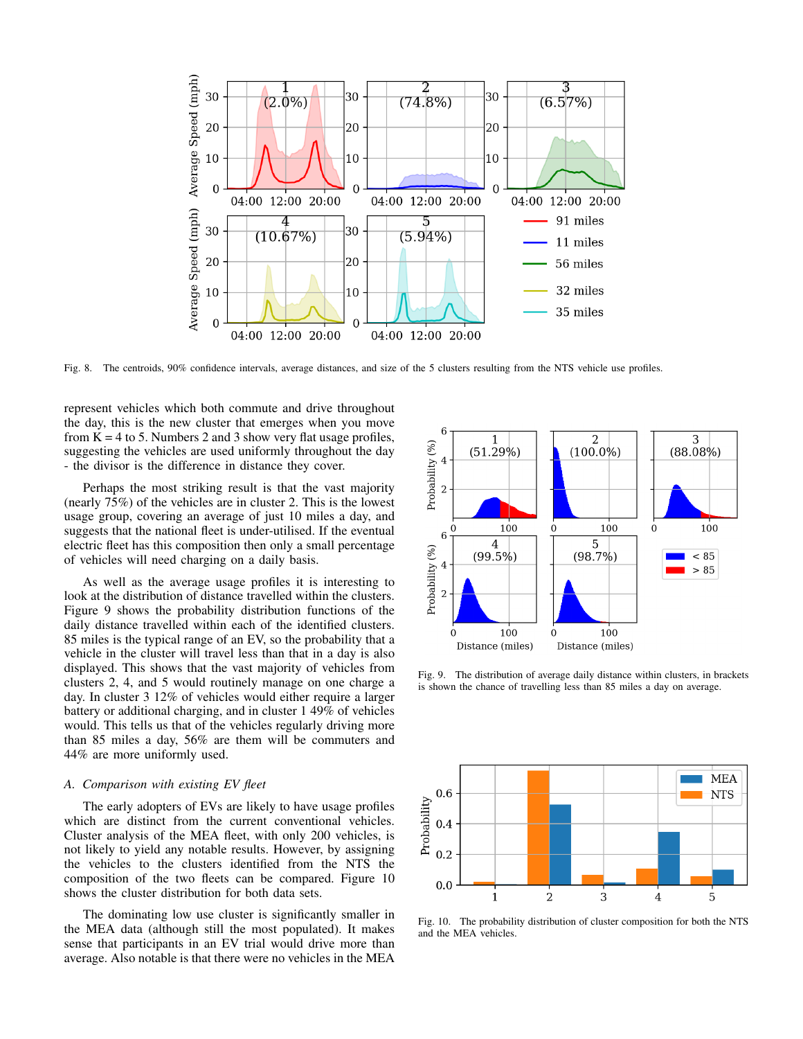

Fig. 8. The centroids, 90% confidence intervals, average distances, and size of the 5 clusters resulting from the NTS vehicle use profiles.

represent vehicles which both commute and drive throughout the day, this is the new cluster that emerges when you move from  $K = 4$  to 5. Numbers 2 and 3 show very flat usage profiles, suggesting the vehicles are used uniformly throughout the day - the divisor is the difference in distance they cover.

Perhaps the most striking result is that the vast majority (nearly 75%) of the vehicles are in cluster 2. This is the lowest usage group, covering an average of just 10 miles a day, and suggests that the national fleet is under-utilised. If the eventual electric fleet has this composition then only a small percentage of vehicles will need charging on a daily basis.

As well as the average usage profiles it is interesting to look at the distribution of distance travelled within the clusters. Figure 9 shows the probability distribution functions of the daily distance travelled within each of the identified clusters. 85 miles is the typical range of an EV, so the probability that a vehicle in the cluster will travel less than that in a day is also displayed. This shows that the vast majority of vehicles from clusters 2, 4, and 5 would routinely manage on one charge a day. In cluster 3 12% of vehicles would either require a larger battery or additional charging, and in cluster 1 49% of vehicles would. This tells us that of the vehicles regularly driving more than 85 miles a day, 56% are them will be commuters and 44% are more uniformly used.

## *A. Comparison with existing EV fleet*

The early adopters of EVs are likely to have usage profiles which are distinct from the current conventional vehicles. Cluster analysis of the MEA fleet, with only 200 vehicles, is not likely to yield any notable results. However, by assigning the vehicles to the clusters identified from the NTS the composition of the two fleets can be compared. Figure 10 shows the cluster distribution for both data sets.

The dominating low use cluster is significantly smaller in the MEA data (although still the most populated). It makes sense that participants in an EV trial would drive more than average. Also notable is that there were no vehicles in the MEA



Fig. 9. The distribution of average daily distance within clusters, in brackets is shown the chance of travelling less than 85 miles a day on average.



Fig. 10. The probability distribution of cluster composition for both the NTS and the MEA vehicles.